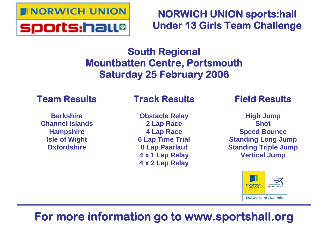

# **NORWICH UNION sports:hall Under 13 Girls Team Challenge**

# **South Regional Mountbatten Centre, Portsmouth Saturday 25 February 2006**

# **Team Results**

**Berkshire Channel Islands Hampshire Isle of Wight Oxfordshire**

# **Track Results**

**Obstacle Relay 2 Lap Race 4 Lap Race 6 Lap Time Trial 8 Lap Paarlauf 4 x 1 Lap Relay 4 x 2 Lap Relay**

# **Field Results**

**High Jump Shot Speed Bounce Standing Long Jump Standing Triple Jump Vertical Jump**



# **For more information go to www.sportshall.org**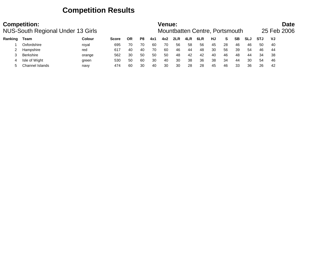## **Competition Results**

|         | <b>Competition:</b><br><b>NUS-South Regional Under 13 Girls</b> |               |              |           |    |     | Venue: |     |     | Mountbatten Centre, Portsmouth |    |    |           |            |            | 25 Feb 2006 | <b>Date</b> |
|---------|-----------------------------------------------------------------|---------------|--------------|-----------|----|-----|--------|-----|-----|--------------------------------|----|----|-----------|------------|------------|-------------|-------------|
| Ranking | Team                                                            | <b>Colour</b> | <b>Score</b> | <b>OR</b> | P8 | 4x1 | 4x2    | 2LR | 4LR | 6LR                            | HJ | S. | <b>SB</b> | <b>SLJ</b> | <b>STJ</b> | VJ          |             |
|         | Oxfordshire                                                     | royal         | 695          | 70        | 70 | 60  | 70     | 56  | 58  | 56                             | 45 | 28 | 46        | 46         | 50         | -40         |             |
|         | Hampshire                                                       | red           | 617          | 40        | 40 | 70  | 60     | 46  | 44  | 48                             | 30 | 56 | 39        | 54         | 46         | -44         |             |
|         | <b>Berkshire</b>                                                | orange        | 562          | 30        | 50 | 50  | 50     | 48  | 42  | 42                             | 40 | 46 | 48        | 44         | 34         | 38          |             |
|         | Isle of Wight                                                   | green         | 530          | 50        | 60 | 30  | 40     | 30  | 38  | 36                             | 38 | 34 | 44        | 30         | 54         | 46          |             |
|         | Channel Islands                                                 | navy          | 474          | 60        | 30 | 40  | 30     | 30  | 28  | 28                             | 45 | 46 | 33        | 36         | 26         | 42          |             |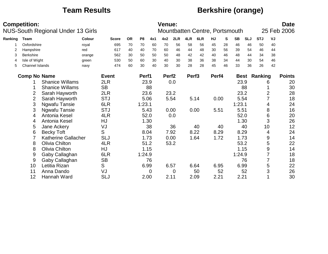## **Team Results Berkshire (orange)**

|         | <b>Competition:</b> |                        | <b>NUS-South Regional Under 13 Girls</b> |              |           |                |     | Venue:            |      |                   | Mountbatten Centre, Portsmouth |       |    |           |            |                     |                | <b>Date</b><br>25 Feb 2006 |
|---------|---------------------|------------------------|------------------------------------------|--------------|-----------|----------------|-----|-------------------|------|-------------------|--------------------------------|-------|----|-----------|------------|---------------------|----------------|----------------------------|
| Ranking | <b>Team</b>         |                        | Colour                                   | <b>Score</b> | <b>OR</b> | P <sub>8</sub> | 4x1 | 4x2               | 2LR  | 4LR               | 6LR                            | HJ    | S  | <b>SB</b> | <b>SLJ</b> | <b>STJ</b>          | VJ             |                            |
|         | Oxfordshire         |                        | royal                                    | 695          | 70        | 70             | 60  | 70                | 56   | 58                | 56                             | 45    | 28 | 46        | 46         | 50                  | 40             |                            |
| 2       | Hampshire           |                        | red                                      | 617          | 40        | 40             | 70  | 60                | 46   | 44                | 48                             | 30    | 56 | 39        | 54         | 46                  | 44             |                            |
| 3       | Berkshire           |                        | orange                                   | 562          | 30        | 50             | 50  | 50                | 48   | 42                | 42                             | 40    | 46 | 48        | 44         | 34                  | 38             |                            |
| 4       | Isle of Wight       |                        | green                                    | 530          | 50        | 60             | 30  | 40                | 30   | 38                | 36                             | 38    | 34 | 44        | 30         | 54                  | 46             |                            |
| 5       | Channel Islands     |                        | navy                                     | 474          | 60        | 30             | 40  | 30                | 30   | 28                | 28                             | 45    | 46 | 33        | 36         | 26                  | 42             |                            |
|         | <b>Comp No Name</b> |                        |                                          | <b>Event</b> |           | Perf1          |     | Perf <sub>2</sub> |      | Perf <sub>3</sub> |                                | Perf4 |    |           |            | <b>Best Ranking</b> |                | <b>Points</b>              |
|         |                     | <b>Shanice Willams</b> |                                          | 2LR          |           | 23.9           |     |                   | 0.0  |                   |                                |       |    | 23.9      |            |                     | 6              | 20                         |
|         |                     | <b>Shanice Willams</b> |                                          | <b>SB</b>    |           |                | 88  |                   |      |                   |                                |       |    |           | 88         |                     |                | 30                         |
|         | 2                   | Sarah Hayworth         |                                          | 2LR          |           | 23.6           |     |                   | 23.2 |                   |                                |       |    | 23.2      |            |                     | $\overline{2}$ | 28                         |
|         | $\overline{2}$      | Sarah Hayworth         |                                          | <b>STJ</b>   |           | 5.06           |     |                   | 5.54 |                   | 5.14                           | 0.00  |    | 5.54      |            |                     | 7              | 18                         |
|         | 3                   | Ngwafu Tansie          |                                          | 6LR          |           | 1:23.1         |     |                   |      |                   |                                |       |    | 1:23.1    |            |                     | 4              | 24                         |
|         | 3                   | Ngwafu Tansie          |                                          | <b>STJ</b>   |           | 5.43           |     |                   | 0.00 |                   | 0.00                           | 5.51  |    | 5.51      |            |                     | 8              | 16                         |
|         | 4                   | Antonia Kesel          |                                          | 4LR          |           | 52.0           |     |                   | 0.0  |                   |                                |       |    | 52.0      |            |                     | 6              | 20                         |
|         | 4                   | Antonia Kesel          |                                          | HJ           |           | 1.30           |     |                   |      |                   |                                |       |    |           | 1.30       |                     | 3              | 26                         |
|         | 5                   | Jane Ackery            |                                          | VJ           |           |                | 38  |                   | 36   |                   | 40                             |       | 40 |           | 40         | 10                  |                | 12                         |
|         | 6                   | <b>Becky Toft</b>      |                                          | S            |           | 8.04           |     |                   | 7.92 |                   | 8.22                           | 8.29  |    | 8.29      |            |                     | 4              | 24                         |
|         |                     | Katherine Gallacher    |                                          | <b>SLJ</b>   |           | 1.73           |     |                   | 0.00 |                   | 1.64                           | 1.72  |    |           | 1.73       |                     | 9              | 14                         |
|         | 8                   | Olivia Chilton         |                                          | 4LR          |           | 51.2           |     |                   | 53.2 |                   |                                |       |    | 53.2      |            |                     | 5              | 22                         |
|         | 8                   | <b>Olivia Chilton</b>  |                                          | HJ           |           | 1.15           |     |                   |      |                   |                                |       |    |           | 1.15       |                     | 9              | 14                         |
|         | 9                   | Gaby Callaghan         |                                          | 6LR          |           | 1:24.9         |     |                   |      |                   |                                |       |    | 1:24.9    |            |                     | 7              | 18                         |
|         | 9                   | Gaby Callaghan         |                                          | <b>SB</b>    |           |                | 76  |                   |      |                   |                                |       |    |           | 76         |                     |                | 18                         |
|         | 10                  | Letitia Rizan          |                                          | S            |           | 6.99           |     | 6.57              |      |                   | 6.64                           | 6.95  |    | 6.99      |            |                     | 5              | 22                         |
|         | 11                  | Anna Dando             |                                          | VJ           |           |                | 0   |                   | 0    |                   | 50                             |       | 52 |           | 52         |                     | 3              | 26                         |
|         | 12                  | Hannah Ward            |                                          | <b>SLJ</b>   |           | 2.00           |     | 2.11              |      |                   | 2.09                           | 2.21  |    | 2.21      |            |                     |                | 30                         |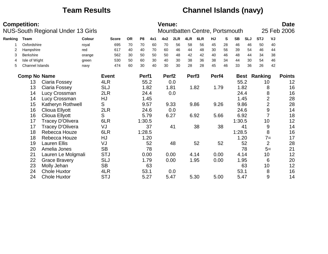## **Team Results Channel Islands (navy)**

|         | <b>Competition:</b> | <b>NUS-South Regional Under 13 Girls</b> |        |              |           |                |      | <b>Venue:</b>     |      |                   | Mountbatten Centre, Portsmouth |       |    |           |            |            |                | <b>Date</b><br>25 Feb 2006 |
|---------|---------------------|------------------------------------------|--------|--------------|-----------|----------------|------|-------------------|------|-------------------|--------------------------------|-------|----|-----------|------------|------------|----------------|----------------------------|
| Ranking | Team                |                                          | Colour | <b>Score</b> | <b>OR</b> | P <sub>8</sub> | 4x1  | 4x2               | 2LR  | 4LR               | 6LR                            | HJ    | S  | <b>SB</b> | <b>SLJ</b> | <b>STJ</b> | VJ             |                            |
|         | Oxfordshire         |                                          | royal  | 695          | 70        | 70             | 60   | 70                | 56   | 58                | 56                             | 45    | 28 | 46        | 46         | 50         | 40             |                            |
| 2       | Hampshire           |                                          | red    | 617          | 40        | 40             | 70   | 60                | 46   | 44                | 48                             | 30    | 56 | 39        | 54         | 46         | 44             |                            |
| 3       | <b>Berkshire</b>    |                                          | orange | 562          | 30        | 50             | 50   | 50                | 48   | 42                | 42                             | 40    | 46 | 48        | 44         | 34         | 38             |                            |
| 4       | Isle of Wight       |                                          | green  | 530          | 50        | 60             | 30   | 40                | 30   | 38                | 36                             | 38    | 34 | 44        | 30         | 54         | 46             |                            |
| 5       | Channel Islands     |                                          | navy   | 474          | 60        | 30             | 40   | 30                | 30   | 28                | 28                             | 45    | 46 | 33        | 36         | 26         | 42             |                            |
|         | <b>Comp No Name</b> |                                          |        | <b>Event</b> |           | Perf1          |      | Perf <sub>2</sub> |      | Perf <sub>3</sub> |                                | Perf4 |    |           | Best       | Ranking    |                | <b>Points</b>              |
|         | 13                  | Ciaria Fossey                            |        | 4LR          |           | 55.2           |      |                   | 0.0  |                   |                                |       |    | 55.2      |            | 10         |                | 12                         |
|         | 13                  | Ciaria Fossey                            |        | <b>SLJ</b>   |           |                | 1.82 | 1.81              |      |                   | 1.82                           | 1.79  |    |           | 1.82       |            | 8              | 16                         |
|         | 14                  | Lucy Crossman                            |        | 2LR          |           |                | 24.4 |                   | 0.0  |                   |                                |       |    | 24.4      |            |            | 8              | 16                         |
|         | 14                  | Lucy Crossman                            |        | HJ           |           |                | 1.45 |                   |      |                   |                                |       |    |           | 1.45       |            | $\overline{2}$ | 28                         |
|         | 15                  | Katheryn Rothwell                        |        | S            |           | 9.57           |      |                   | 9.33 |                   | 9.86                           | 9.26  |    | 9.86      |            |            | $\overline{2}$ | 28                         |
|         | 16                  | Clioua Ellyott                           |        | 2LR          |           |                | 24.6 |                   | 0.0  |                   |                                |       |    | 24.6      |            |            | 9              | 14                         |
|         | 16                  | Clioua Ellyott                           |        | S            |           | 5.79           |      |                   | 6.27 |                   | 6.92                           | 5.66  |    | 6.92      |            |            | $\overline{7}$ | 18                         |
|         | 17                  | Tracey D'Olivera                         |        | 6LR          |           | 1:30.5         |      |                   |      |                   |                                |       |    | 1:30.5    |            | 10         |                | 12                         |
|         | 17                  | <b>Tracey D'Olivera</b>                  |        | VJ           |           |                | 37   |                   | 41   |                   | 38                             |       | 38 |           | 41         |            | 9              | 14                         |
|         | 18                  | Rebecca Houze                            |        | 6LR          |           | 1:28.5         |      |                   |      |                   |                                |       |    | 1:28.5    |            |            | 8              | 16                         |
|         | 18                  | Rebecca Houze                            |        | HJ           |           |                | 1.20 |                   |      |                   |                                |       |    |           | 1.20       |            | $7 =$          | 17                         |
|         | 19                  | <b>Lauren Ellis</b>                      |        | VJ           |           |                | 52   |                   | 48   |                   | 52                             |       | 52 |           | 52         |            | $\overline{2}$ | 28                         |
|         | 20                  | Amelia Jones                             |        | <b>SB</b>    |           |                | 78   |                   |      |                   |                                |       |    |           | 78         |            | $5=$           | 21                         |
|         | 21                  | Lauren Le Molgmali                       |        | <b>STJ</b>   |           | 0.00           |      |                   | 0.00 |                   | 4.14                           | 0.00  |    | 4.14      |            | 10         |                | 12                         |
|         | 22                  | <b>Grace Bravery</b>                     |        | <b>SLJ</b>   |           |                | 1.79 |                   | 0.00 |                   | 1.95                           | 0.00  |    |           | 1.95       |            | 6              | 20                         |
|         | 23                  | Molly Jehan                              |        | <b>SB</b>    |           |                | 63   |                   |      |                   |                                |       |    |           | 63         | 10         |                | 12                         |
|         | 24                  | <b>Chole Huxtor</b>                      |        | 4LR          |           | 53.1           |      |                   | 0.0  |                   |                                |       |    | 53.1      |            |            | 8              | 16                         |
|         | 24                  | <b>Chole Huxtor</b>                      |        | <b>STJ</b>   |           | 5.27           |      | 5.47              |      |                   | 5.30                           | 5.00  |    | 5.47      |            |            | 9              | 14                         |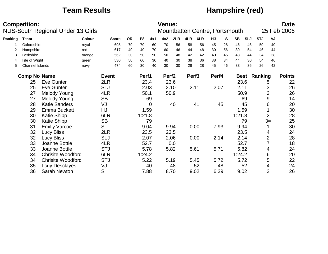## **Team Results Hampshire (red)**

|         | <b>Competition:</b> | <b>NUS-South Regional Under 13 Girls</b> |               |              |           |                |      | <b>Venue:</b>     |      |                   | Mountbatten Centre, Portsmouth |       |    |           |            |                     |                  | <b>Date</b><br>25 Feb 2006 |
|---------|---------------------|------------------------------------------|---------------|--------------|-----------|----------------|------|-------------------|------|-------------------|--------------------------------|-------|----|-----------|------------|---------------------|------------------|----------------------------|
| Ranking | Team                |                                          | <b>Colour</b> | <b>Score</b> | <b>OR</b> | P <sub>8</sub> | 4x1  | 4x2               | 2LR  | 4LR               | 6LR                            | HJ    | S  | <b>SB</b> | <b>SLJ</b> | <b>STJ</b>          | VJ               |                            |
|         | Oxfordshire         |                                          | royal         | 695          | 70        | 70             | 60   | 70                | 56   | 58                | 56                             | 45    | 28 | 46        | 46         | 50                  | 40               |                            |
| 2       | Hampshire           |                                          | red           | 617          | 40        | 40             | 70   | 60                | 46   | 44                | 48                             | 30    | 56 | 39        | 54         | 46                  | 44               |                            |
| 3       | Berkshire           |                                          | orange        | 562          | 30        | 50             | 50   | 50                | 48   | 42                | 42                             | 40    | 46 | 48        | 44         | 34                  | 38               |                            |
| 4       | Isle of Wight       |                                          | green         | 530          | 50        | 60             | 30   | 40                | 30   | 38                | 36                             | 38    | 34 | 44        | 30         | 54                  | 46               |                            |
| 5       | Channel Islands     |                                          | navy          | 474          | 60        | 30             | 40   | 30                | 30   | 28                | 28                             | 45    | 46 | 33        | 36         | 26                  | 42               |                            |
|         | <b>Comp No Name</b> |                                          |               | <b>Event</b> |           | Perf1          |      | Perf <sub>2</sub> |      | Perf <sub>3</sub> |                                | Perf4 |    |           |            | <b>Best Ranking</b> |                  | <b>Points</b>              |
|         | 25                  | <b>Eve Gunter</b>                        |               | 2LR          |           |                | 23.4 |                   | 23.6 |                   |                                |       |    |           | 23.6       |                     | 5                | 22                         |
|         | 25                  | <b>Eve Gunter</b>                        |               | <b>SLJ</b>   |           |                | 2.03 |                   | 2.10 |                   | 2.11                           | 2.07  |    | 2.11      |            |                     | 3                | 26                         |
|         | 27                  | Melody Young                             |               | 4LR          |           | 50.1           |      |                   | 50.9 |                   |                                |       |    | 50.9      |            |                     | 3                | 26                         |
|         | 27                  | Melody Young                             |               | <b>SB</b>    |           |                | 69   |                   |      |                   |                                |       |    |           | 69         |                     | $\boldsymbol{9}$ | 14                         |
|         | 28                  | <b>Katie Sanders</b>                     |               | VJ           |           |                | 0    |                   | 40   |                   | 41                             |       | 45 |           | 45         |                     | 6                | 20                         |
|         | 29                  | <b>Emma Buckett</b>                      |               | HJ           |           |                | 1.59 |                   |      |                   |                                |       |    |           | 1.59       |                     |                  | 30                         |
|         | 30                  | <b>Katie Shipp</b>                       |               | 6LR          |           | 1:21.8         |      |                   |      |                   |                                |       |    | 1:21.8    |            |                     | $\overline{2}$   | 28                         |
|         | 30                  | <b>Katie Shipp</b>                       |               | <b>SB</b>    |           |                | 79   |                   |      |                   |                                |       |    |           | 79         |                     | $3=$             | 25                         |
|         | 31                  | <b>Emiliy Varcoe</b>                     |               | S            |           |                | 9.04 |                   | 9.94 |                   | 0.00                           | 7.93  |    | 9.94      |            |                     |                  | 30                         |
|         | 32                  | <b>Lucy Bliss</b>                        |               | 2LR          |           |                | 23.5 |                   | 23.5 |                   |                                |       |    |           | 23.5       |                     | 4                | 24                         |
|         | 32                  | <b>Lucy Bliss</b>                        |               | <b>SLJ</b>   |           |                | 2.07 |                   | 2.06 |                   | 0.00                           | 2.14  |    |           | 2.14       |                     | $\overline{2}$   | 28                         |
|         | 33                  | Joanne Bottle                            |               | 4LR          |           | 52.7           |      |                   | 0.0  |                   |                                |       |    | 52.7      |            |                     | 7                | 18                         |
|         | 33                  | Joanne Bottle                            |               | <b>STJ</b>   |           |                | 5.78 |                   | 5.82 |                   | 5.61                           | 5.71  |    | 5.82      |            |                     | 4                | 24                         |
|         | 34                  | <b>Chrisite Woodford</b>                 |               | 6LR          |           | 1:24.2         |      |                   |      |                   |                                |       |    | 1:24.2    |            |                     | 6                | 20                         |
|         | 34                  | <b>Chrisite Woodford</b>                 |               | <b>STJ</b>   |           | 5.22           |      |                   | 5.19 |                   | 5.45                           | 5.72  |    |           | 5.72       |                     | 5                | 22                         |
|         | 35                  | <b>Lcuy Desclayes</b>                    |               | VJ           |           |                | 40   |                   | 48   |                   | 52                             |       | 48 |           | 52         |                     | 4                | 24                         |
|         | 36                  | <b>Sarah Newton</b>                      |               | S            |           |                | 7.88 |                   | 8.70 |                   | 9.02                           | 6.39  |    | 9.02      |            |                     | 3                | 26                         |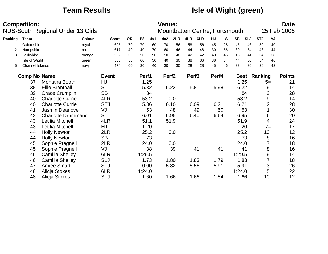## **Team Results Isle of Wight (green)**

|         | <b>Competition:</b>    | <b>NUS-South Regional Under 13 Girls</b> |        |              |           |                |      | <b>Venue:</b>     |      |                   | Mountbatten Centre, Portsmouth |           |    |           |            |                     |                | <b>Date</b><br>25 Feb 2006 |
|---------|------------------------|------------------------------------------|--------|--------------|-----------|----------------|------|-------------------|------|-------------------|--------------------------------|-----------|----|-----------|------------|---------------------|----------------|----------------------------|
| Ranking | <b>Team</b>            |                                          | Colour | <b>Score</b> | <b>OR</b> | P <sub>8</sub> | 4x1  | 4x2               | 2LR  | 4LR               | 6LR                            | <b>HJ</b> | S  | <b>SB</b> | <b>SLJ</b> | <b>STJ</b>          | VJ             |                            |
|         | Oxfordshire            |                                          | royal  | 695          | 70        | 70             | 60   | 70                | 56   | 58                | 56                             | 45        | 28 | 46        | 46         | 50                  | 40             |                            |
| 2       | Hampshire              |                                          | red    | 617          | 40        | 40             | 70   | 60                | 46   | 44                | 48                             | 30        | 56 | 39        | 54         | 46                  | 44             |                            |
| 3       | <b>Berkshire</b>       |                                          | orange | 562          | 30        | 50             | 50   | 50                | 48   | 42                | 42                             | 40        | 46 | 48        | 44         | 34                  | 38             |                            |
| 4       | Isle of Wight          |                                          | green  | 530          | 50        | 60             | 30   | 40                | 30   | 38                | 36                             | 38        | 34 | 44        | 30         | 54                  | 46             |                            |
| 5       | <b>Channel Islands</b> |                                          | navy   | 474          | 60        | 30             | 40   | 30                | 30   | 28                | 28                             | 45        | 46 | 33        | 36         | 26                  | 42             |                            |
|         | <b>Comp No Name</b>    |                                          |        | <b>Event</b> |           | Perf1          |      | Perf <sub>2</sub> |      | Perf <sub>3</sub> |                                | Perf4     |    |           |            | <b>Best Ranking</b> |                | <b>Points</b>              |
|         | 37                     | Montana Booth                            |        | HJ           |           |                | 1.25 |                   |      |                   |                                |           |    |           | 1.25       |                     | $5=$           | 21                         |
|         | 38                     | <b>Ellie Brentnall</b>                   |        | S            |           | 5.32           |      |                   | 6.22 |                   | 5.81                           | 5.98      |    |           | 6.22       |                     | 9              | 14                         |
|         | 39                     | <b>Grace Crumplin</b>                    |        | <b>SB</b>    |           |                | 84   |                   |      |                   |                                |           |    |           | 84         |                     | $\overline{2}$ | 28                         |
|         | 40                     | <b>Charlotte Currie</b>                  |        | 4LR          |           | 53.2           |      |                   | 0.0  |                   |                                |           |    |           | 53.2       |                     | 9              | 14                         |
|         | 40                     | <b>Charlotte Currie</b>                  |        | <b>STJ</b>   |           | 5.86           |      |                   | 6.10 |                   | 6.09                           | 6.21      |    | 6.21      |            |                     | 2              | 28                         |
|         | 41                     | Jasmin Dearlove                          |        | VJ           |           |                | 53   |                   | 48   |                   | 49                             |           | 50 |           | 53         |                     |                | 30                         |
|         | 42                     | <b>Charlotte Drummand</b>                |        | S            |           | 6.01           |      |                   | 6.95 |                   | 6.40                           | 6.64      |    | 6.95      |            |                     | 6              | 20                         |
|         | 43                     | Letitia Mitchell                         |        | 4LR          |           | 51.1           |      |                   | 51.9 |                   |                                |           |    | 51.9      |            |                     | 4              | 24                         |
|         | 43                     | Letitia Mitchell                         |        | HJ           |           |                | 1.20 |                   |      |                   |                                |           |    |           | 1.20       |                     | $7 =$          | 17                         |
|         | 44                     | <b>Holly Newton</b>                      |        | 2LR          |           |                | 25.2 |                   | 0.0  |                   |                                |           |    |           | 25.2       |                     | 10             | 12                         |
|         | 44                     | <b>Holly Newton</b>                      |        | <b>SB</b>    |           |                | 73   |                   |      |                   |                                |           |    |           | 73         |                     | 8              | 16                         |
|         | 45                     | Sophie Pragnell                          |        | 2LR          |           |                | 24.0 |                   | 0.0  |                   |                                |           |    |           | 24.0       |                     |                | 18                         |
|         | 45                     | Sophie Pragnell                          |        | VJ           |           |                | 38   |                   | 39   |                   | 41                             |           | 41 |           | 41         |                     | 8              | 16                         |
|         | 46                     | <b>Camilla Shelley</b>                   |        | 6LR          |           | 1:29.5         |      |                   |      |                   |                                |           |    | 1:29.5    |            |                     | 9              | 14                         |
|         | 46                     | <b>Camilla Shelley</b>                   |        | <b>SLJ</b>   |           |                | 1.73 |                   | 1.80 |                   | 1.83                           | 1.79      |    |           | 1.83       |                     | $\overline{7}$ | 18                         |
|         | 47                     | <b>Amiee Smart</b>                       |        | <b>STJ</b>   |           | 0.00           |      |                   | 5.82 |                   | 5.56                           | 5.91      |    | 5.91      |            |                     | 3              | 26                         |
|         | 48                     | Alicja Stokes                            |        | 6LR          |           | 1:24.0         |      |                   |      |                   |                                |           |    | 1:24.0    |            |                     | 5              | 22                         |
|         | 48                     | Alicja Stokes                            |        | <b>SLJ</b>   |           |                | 1.60 |                   | 1.66 |                   | 1.66                           | 1.54      |    |           | 1.66       | 10                  |                | 12                         |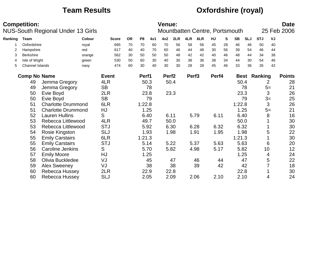## **Team Results Oxfordshire (royal)**

|         | <b>Competition:</b>    | <b>NUS-South Regional Under 13 Girls</b> |               |              |           |                |      | <b>Venue:</b>     |      |                   | Mountbatten Centre, Portsmouth |       |    |             |            |            |      | <b>Date</b><br>25 Feb 2006 |
|---------|------------------------|------------------------------------------|---------------|--------------|-----------|----------------|------|-------------------|------|-------------------|--------------------------------|-------|----|-------------|------------|------------|------|----------------------------|
| Ranking | Team                   |                                          | <b>Colour</b> | <b>Score</b> | <b>OR</b> | P <sub>8</sub> | 4x1  | 4x2               | 2LR  | 4LR               | 6LR                            | HJ    | S  | <b>SB</b>   | <b>SLJ</b> | <b>STJ</b> | VJ   |                            |
|         | Oxfordshire            |                                          | royal         | 695          | 70        | 70             | 60   | 70                | 56   | 58                | 56                             | 45    | 28 | 46          | 46         | 50         | 40   |                            |
|         | Hampshire              |                                          | red           | 617          | 40        | 40             | 70   | 60                | 46   | 44                | 48                             | 30    | 56 | 39          | 54         | 46         | 44   |                            |
| 3       | <b>Berkshire</b>       |                                          | orange        | 562          | 30        | 50             | 50   | 50                | 48   | 42                | 42                             | 40    | 46 | 48          | 44         | 34         | 38   |                            |
| 4       | Isle of Wight          |                                          | green         | 530          | 50        | 60             | 30   | 40                | 30   | 38                | 36                             | 38    | 34 | 44          | 30         | 54         | 46   |                            |
| 5       | <b>Channel Islands</b> |                                          | navy          | 474          | 60        | 30             | 40   | 30                | 30   | 28                | 28                             | 45    | 46 | 33          | 36         | 26         | 42   |                            |
|         | <b>Comp No Name</b>    |                                          |               | <b>Event</b> |           | Perf1          |      | Perf <sub>2</sub> |      | Perf <sub>3</sub> |                                | Perf4 |    | <b>Best</b> |            | Ranking    |      | <b>Points</b>              |
|         | 49                     | Jemma Gregory                            |               | 4LR          |           |                | 50.3 |                   | 50.4 |                   |                                |       |    | 50.4        |            |            | 2    | 28                         |
|         | 49                     | Jemma Gregory                            |               | <b>SB</b>    |           |                | 78   |                   |      |                   |                                |       |    |             | 78         |            | $5=$ | 21                         |
|         | 50                     | Evie Boyd                                |               | 2LR          |           |                | 23.8 |                   | 23.3 |                   |                                |       |    | 23.3        |            |            | 3    | 26                         |
|         | 50                     | Evie Boyd                                |               | <b>SB</b>    |           |                | 79   |                   |      |                   |                                |       |    |             | 79         |            | $3=$ | 25                         |
|         | 51                     | <b>Charlotte Drummond</b>                |               | 6LR          |           | 1:22.8         |      |                   |      |                   |                                |       |    | 1:22.8      |            |            | 3    | 26                         |
|         | 51                     | <b>Charlotte Drummond</b>                |               | HJ           |           |                | 1.25 |                   |      |                   |                                |       |    | 1.25        |            |            | $5=$ | 21                         |
|         | 52                     | <b>Lauren Hullins</b>                    |               | S            |           |                | 6.40 | 6.11              |      |                   | 5.79                           | 6.11  |    | 6.40        |            |            | 8    | 16                         |
|         | 53                     | Rebecca Littlewood                       |               | 4LR          |           | 49.7           |      |                   | 50.0 |                   |                                |       |    | 50.0        |            |            |      | 30                         |
|         | 53                     | <b>Rebecca Littlewood</b>                |               | <b>STJ</b>   |           |                | 5.92 |                   | 6.30 |                   | 6.28                           | 6.32  |    | 6.32        |            |            |      | 30                         |
|         | 54                     | Rosie Kingston                           |               | <b>SLJ</b>   |           |                | 1.93 |                   | 1.98 |                   | 1.91                           | 1.95  |    | 1.98        |            |            | 5    | 22                         |
|         | 55                     | <b>Emily Carstairs</b>                   |               | 6LR          |           | 1:21.3         |      |                   |      |                   |                                |       |    | 1:21.3      |            |            |      | 30                         |
|         | 55                     | <b>Emily Carstairs</b>                   |               | <b>STJ</b>   |           |                | 5.14 |                   | 5.22 |                   | 5.37                           | 5.63  |    | 5.63        |            |            | 6    | 20                         |
|         | 56                     | Caroline Jenkins                         |               | S            |           |                | 5.70 |                   | 5.82 |                   | 4.98                           | 5.17  |    | 5.82        |            | 10         |      | 12                         |
|         | 57                     | <b>Emily Moore</b>                       |               | HJ           |           |                | 1.25 |                   |      |                   |                                |       |    | 1.25        |            |            | 4    | 24                         |
|         | 58                     | Olivia Buckledee                         |               | VJ           |           |                | 45   |                   | 47   |                   | 46                             |       | 44 |             | 47         |            | 5    | 22                         |
|         | 59                     | <b>Alex Sweeney</b>                      |               | VJ           |           |                | 38   |                   | 38   |                   | 39                             |       | 42 |             | 42         |            |      | 18                         |
|         | 60                     | Rebecca Hussey                           |               | 2LR          |           |                | 22.9 |                   | 22.8 |                   |                                |       |    | 22.8        |            |            |      | 30                         |
|         | 60                     | Rebecca Hussey                           |               | <b>SLJ</b>   |           |                | 2.05 |                   | 2.09 |                   | 2.06                           | 2.10  |    | 2.10        |            |            | 4    | 24                         |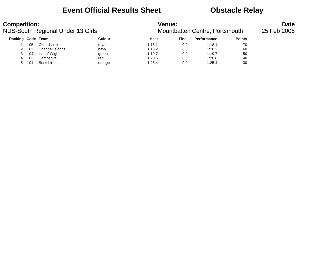## **Event Official Results Sheet <b>CEV** Obstacle Relay

| <b>Competition:</b> |    | <b>NUS-South Regional Under 13 Girls</b> |        | <b>Venue:</b> |       | Mountbatten Centre, Portsmouth |               | <b>Date</b><br>25 Feb 2006 |
|---------------------|----|------------------------------------------|--------|---------------|-------|--------------------------------|---------------|----------------------------|
| Ranking Code Team   |    |                                          | Colour | Heat          | Final | <b>Performance</b>             | <b>Points</b> |                            |
|                     | 05 | Oxfordshire                              | royal  | 1:18.1        | 0.0   | 1:18.1                         | 70            |                            |
|                     | 02 | Channel Islands                          | navy   | 1:18.2        | 0.0   | 1:18.2                         | 60            |                            |
| 3                   | 04 | Isle of Wight                            | green  | 1:19.7        | 0.0   | 1:19.7                         | 50            |                            |
| 4                   | 03 | Hampshire                                | red    | 1:20.6        | 0.0   | 1:20.6                         | 40            |                            |
| 5                   |    | Berkshire                                | orange | 1:25.4        | 0.0   | 1:25.4                         | 30            |                            |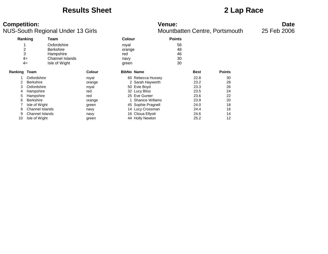### **Results Sheet 2 Lap Race**

**Competition:**<br>**Date**<br>Mountbatten Centre, Portsmouth 13 Girls MUS-South Regional Under 13 Girls NUS-South Regional Under 13 Girls

|                | Ranking          | Team                   |               | <b>Colour</b>     |                        | <b>Points</b> |             |               |
|----------------|------------------|------------------------|---------------|-------------------|------------------------|---------------|-------------|---------------|
|                |                  | Oxfordshire            |               | royal             |                        | 56            |             |               |
| $\overline{c}$ |                  | <b>Berkshire</b>       |               | orange            |                        | 48            |             |               |
| 3              |                  | Hampshire              |               | red               |                        | 46            |             |               |
|                | $4=$             | <b>Channel Islands</b> |               | navy              |                        | 30            |             |               |
|                | $4=$             | Isle of Wight          |               | green             |                        | 30            |             |               |
| Ranking Team   |                  |                        | <b>Colour</b> | <b>BibNo Name</b> |                        |               | <b>Best</b> | <b>Points</b> |
|                | Oxfordshire      |                        | royal         |                   | 60 Rebecca Hussey      |               | 22.8        | 30            |
|                | <b>Berkshire</b> |                        | orange        |                   | 2 Sarah Hayworth       |               | 23.2        | 28            |
| 3              | Oxfordshire      |                        | royal         |                   | 50 Evie Boyd           |               | 23.3        | 26            |
| 4              | Hampshire        |                        | red           |                   | 32 Lucy Bliss          |               | 23.5        | 24            |
| 5              | Hampshire        |                        | red           |                   | 25 Eve Gunter          |               | 23.6        | 22            |
| 6              | <b>Berkshire</b> |                        | orange        |                   | <b>Shanice Willams</b> |               | 23.9        | 20            |
|                | Isle of Wight    |                        | green         |                   | 45 Sophie Pragnell     |               | 24.0        | 18            |
| 8              | Channel Islands  |                        | navy          |                   | 14 Lucy Crossman       |               | 24.4        | 16            |
| 9              | Channel Islands  |                        | navy          |                   | 16 Clioua Ellyott      |               | 24.6        | 14            |
| 10             | Isle of Wight    |                        | green         |                   | 44 Holly Newton        |               | 25.2        | 12            |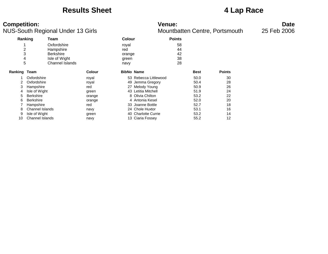### **Results Sheet 4 Lap Race**

### **Competition: Venue: Date**

|              |                        | ice count regional chaor to omo |               |        |                       |               | <b>MOUTINGHOT CONTROL DIGITIONI</b> |               |
|--------------|------------------------|---------------------------------|---------------|--------|-----------------------|---------------|-------------------------------------|---------------|
|              | Ranking                | Team                            |               | Colour |                       | <b>Points</b> |                                     |               |
|              |                        | Oxfordshire                     |               | royal  |                       | 58            |                                     |               |
| 2            |                        | Hampshire                       |               | red    |                       | 44            |                                     |               |
| 3            |                        | <b>Berkshire</b>                |               | orange |                       | 42            |                                     |               |
| 4            |                        | Isle of Wight                   |               | green  |                       | 38            |                                     |               |
| 5            |                        | <b>Channel Islands</b>          |               | navy   |                       | 28            |                                     |               |
| Ranking Team |                        |                                 | <b>Colour</b> |        | <b>BibNo Name</b>     |               | <b>Best</b>                         | <b>Points</b> |
|              | Oxfordshire            |                                 | royal         |        | 53 Rebecca Littlewood |               | 50.0                                | 30            |
| 2            | Oxfordshire            |                                 | royal         |        | 49 Jemma Gregory      |               | 50.4                                | 28            |
| 3            | Hampshire              |                                 | red           |        | 27 Melody Young       |               | 50.9                                | 26            |
| 4            | Isle of Wight          |                                 | green         |        | 43 Letitia Mitchell   |               | 51.9                                | 24            |
| 5            | <b>Berkshire</b>       |                                 | orange        |        | 8 Olivia Chilton      |               | 53.2                                | 22            |
| 6            | <b>Berkshire</b>       |                                 | orange        |        | 4 Antonia Kesel       |               | 52.0                                | 20            |
|              | Hampshire              |                                 | red           |        | 33 Joanne Bottle      |               | 52.7                                | 18            |
| 8            | Channel Islands        |                                 | navy          |        | 24 Chole Huxtor       |               | 53.1                                | 16            |
| 9            | Isle of Wight          |                                 | green         |        | 40 Charlotte Currie   |               | 53.2                                | 14            |
| 10           | <b>Channel Islands</b> |                                 | navy          |        | 13 Ciaria Fossey      |               | 55.2                                | 12            |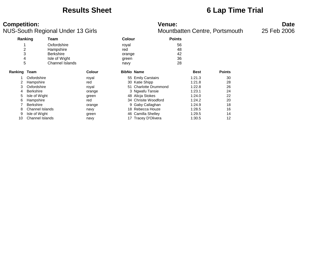### **Results Sheet 6 Lap Time Trial**

### **Competition: Venue: Date**

|              | Ranking                | Team                   |        | <b>Colour</b>     |                       | <b>Points</b> |             |               |
|--------------|------------------------|------------------------|--------|-------------------|-----------------------|---------------|-------------|---------------|
|              |                        | Oxfordshire            |        | royal             |                       | 56            |             |               |
| 2            |                        | Hampshire              |        | red               |                       | 48            |             |               |
| 3            |                        | <b>Berkshire</b>       |        | orange            |                       | 42            |             |               |
| 4            |                        | Isle of Wight          |        | green             |                       | 36            |             |               |
| 5            |                        | <b>Channel Islands</b> |        | navy              |                       | 28            |             |               |
| Ranking Team |                        |                        | Colour | <b>BibNo Name</b> |                       |               | <b>Best</b> | <b>Points</b> |
|              | Oxfordshire            |                        | royal  |                   | 55 Emily Carstairs    |               | 1:21.3      | 30            |
|              | Hampshire              |                        | red    |                   | 30 Katie Shipp        |               | 1:21.8      | 28            |
| 3            | Oxfordshire            |                        | royal  |                   | 51 Charlotte Drummond |               | 1:22.8      | 26            |
| 4            | <b>Berkshire</b>       |                        | orange |                   | 3 Ngwafu Tansie       |               | 1:23.1      | 24            |
| 5            | Isle of Wight          |                        | green  |                   | 48 Alicia Stokes      |               | 1:24.0      | 22            |
| 6            | Hampshire              |                        | red    |                   | 34 Chrisite Woodford  |               | 1:24.2      | 20            |
|              | <b>Berkshire</b>       |                        | orange |                   | 9 Gaby Callaghan      |               | 1:24.9      | 18            |
| 8            | Channel Islands        |                        | navy   |                   | 18 Rebecca Houze      |               | 1:28.5      | 16            |
| 9            | Isle of Wight          |                        | green  |                   | 46 Camilla Shelley    |               | 1:29.5      | 14            |
| 10           | <b>Channel Islands</b> |                        | navy   |                   | 17 Tracey D'Olivera   |               | 1:30.5      | 12            |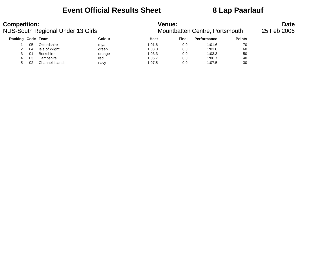## **Event Official Results Sheet 8 Lap Paarlauf**

| <b>Competition:</b> |    | <b>NUS-South Regional Under 13 Girls</b> |        | <b>Venue:</b> |       | Mountbatten Centre, Portsmouth |               | <b>Date</b><br>25 Feb 2006 |
|---------------------|----|------------------------------------------|--------|---------------|-------|--------------------------------|---------------|----------------------------|
| Ranking Code Team   |    |                                          | Colour | Heat          | Final | <b>Performance</b>             | <b>Points</b> |                            |
|                     | 05 | Oxfordshire                              | roval  | 1:01.6        | 0.0   | 1:01.6                         | 70            |                            |
|                     | 04 | Isle of Wight                            | green  | 1:03.0        | 0.0   | 1:03.0                         | 60            |                            |
| 3                   | 01 | Berkshire                                | orange | 1:03.3        | 0.0   | 1:03.3                         | 50            |                            |
| 4                   | 03 | Hampshire                                | red    | 1:06.7        | 0.0   | 1:06.7                         | 40            |                            |
| 5.                  | 02 | Channel Islands                          | navy   | 1:07.5        | 0.0   | 1:07.5                         | 30            |                            |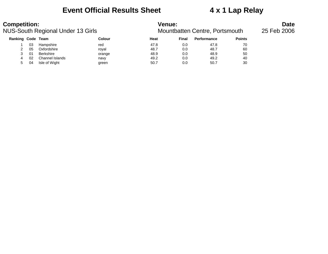## **Event Official Results Sheet 4 x 1 Lap Relay**

| <b>Competition:</b> |    | <b>NUS-South Regional Under 13 Girls</b> |        | <b>Venue:</b> |       | Mountbatten Centre, Portsmouth |               | <b>Date</b><br>25 Feb 2006 |
|---------------------|----|------------------------------------------|--------|---------------|-------|--------------------------------|---------------|----------------------------|
| Ranking Code Team   |    |                                          | Colour | Heat          | Final | <b>Performance</b>             | <b>Points</b> |                            |
|                     | 03 | Hampshire                                | red    | 47.8          | 0.0   | 47.8                           | 70            |                            |
|                     | 05 | Oxfordshire                              | roval  | 48.7          | 0.0   | 48.7                           | 60            |                            |
|                     | 01 | Berkshire                                | orange | 48.9          | 0.0   | 48.9                           | 50            |                            |
| 4                   | 02 | Channel Islands                          | navy   | 49.2          | 0.0   | 49.2                           | 40            |                            |
| 5                   | 04 | Isle of Wight                            | green  | 50.7          | 0.0   | 50.7                           | 30            |                            |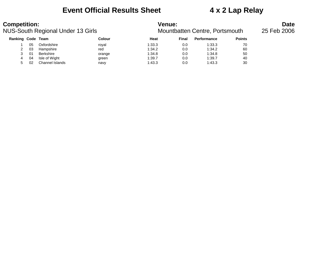## **Event Official Results Sheet 4 x 2 Lap Relay**

| <b>Competition:</b> |     | NUS-South Regional Under 13 Girls |        | <b>Venue:</b><br>Mountbatten Centre, Portsmouth | <b>Date</b><br>25 Feb 2006 |                    |               |  |
|---------------------|-----|-----------------------------------|--------|-------------------------------------------------|----------------------------|--------------------|---------------|--|
| Ranking Code Team   |     |                                   | Colour | Heat                                            | Final                      | <b>Performance</b> | <b>Points</b> |  |
|                     | 05  | Oxfordshire                       | roval  | 1:33.3                                          | 0.0                        | 1:33.3             | 70            |  |
|                     | 03  | Hampshire                         | red    | 1:34.2                                          | 0.0                        | 1:34.2             | 60            |  |
|                     | -01 | Berkshire                         | orange | 1:34.8                                          | 0.0                        | 1:34.8             | 50            |  |
| 4                   | 04  | Isle of Wight                     | green  | 1:39.7                                          | 0.0                        | 1:39.7             | 40            |  |
| 5                   | 02  | Channel Islands                   | navy   | 1:43.3                                          | 0.0                        | 1:43.3             | 30            |  |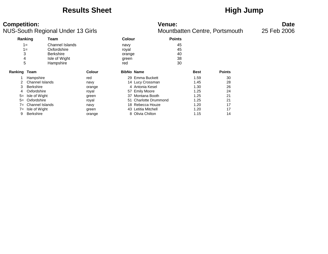### **Results Sheet High Jump**

### **Competition:**<br>**Date**<br>Mountbatten Centre, Portsmouth 13 Girls MUS-South Regional Under 13 Girls NUS-South Regional Under 13 Girls

| Ranking             |                  | Team             | Colour        |                   |                       | <b>Points</b> |             |               |
|---------------------|------------------|------------------|---------------|-------------------|-----------------------|---------------|-------------|---------------|
|                     | $1 =$            | Channel Islands  |               | navy              |                       | 45            |             |               |
|                     | $1 =$            | Oxfordshire      |               | royal             |                       | 45            |             |               |
| 3                   |                  | <b>Berkshire</b> |               | orange            |                       | 40            |             |               |
| 4                   |                  | Isle of Wight    |               | green             |                       | 38            |             |               |
| 5                   |                  | Hampshire        |               | red               |                       | 30            |             |               |
| <b>Ranking Team</b> |                  |                  | <b>Colour</b> | <b>BibNo Name</b> |                       |               | <b>Best</b> | <b>Points</b> |
|                     | Hampshire        |                  | red           |                   | 29 Emma Buckett       |               | 1.59        | 30            |
|                     | Channel Islands  |                  | navy          |                   | 14 Lucy Crossman      |               | 1.45        | 28            |
| 3                   | Berkshire        |                  | orange        |                   | 4 Antonia Kesel       |               | 1.30        | 26            |
| 4                   | Oxfordshire      |                  | royal         |                   | 57 Emily Moore        |               | 1.25        | 24            |
| $5=$                | Isle of Wight    |                  | green         |                   | 37 Montana Booth      |               | 1.25        | 21            |
| $5=$                | Oxfordshire      |                  | royal         |                   | 51 Charlotte Drummond |               | 1.25        | 21            |
| $7 =$               | Channel Islands  |                  | navy          |                   | 18 Rebecca Houze      |               | 1.20        | 17            |
| $7 =$               | Isle of Wight    |                  | green         |                   | 43 Letitia Mitchell   |               | 1.20        | 17            |
| 9                   | <b>Berkshire</b> |                  | orange        |                   | 8 Olivia Chilton      |               | 1.15        | 14            |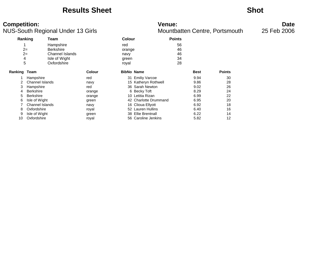### **Results Sheet Shot**

### **Competition: Venue: Date**

| Ranking |                  | Team             |        | <b>Colour</b>     |                        | <b>Points</b> |             |               |
|---------|------------------|------------------|--------|-------------------|------------------------|---------------|-------------|---------------|
|         |                  | Hampshire        |        | red               |                        | 56            |             |               |
|         | $2=$             | <b>Berkshire</b> |        | orange            |                        | 46            |             |               |
|         | $2=$             | Channel Islands  |        | navy              |                        | 46            |             |               |
| 4       |                  | Isle of Wight    |        | green             |                        | 34            |             |               |
| 5       |                  | Oxfordshire      |        | royal             |                        | 28            |             |               |
| Ranking | Team             |                  | Colour | <b>BibNo Name</b> |                        |               | <b>Best</b> | <b>Points</b> |
|         | Hampshire        |                  | red    | 31                | <b>Emiliy Varcoe</b>   |               | 9.94        | 30            |
|         | Channel Islands  |                  | navy   |                   | 15 Katheryn Rothwell   |               | 9.86        | 28            |
| 3       | Hampshire        |                  | red    |                   | 36 Sarah Newton        |               | 9.02        | 26            |
| 4       | <b>Berkshire</b> |                  | orange |                   | 6 Becky Toft           |               | 8.29        | 24            |
| 5       | <b>Berkshire</b> |                  | orange |                   | 10 Letitia Rizan       |               | 6.99        | 22            |
| 6       | Isle of Wight    |                  | green  |                   | 42 Charlotte Drummand  |               | 6.95        | 20            |
|         | Channel Islands  |                  | navy   |                   | 16 Clioua Ellyott      |               | 6.92        | 18            |
| 8       | Oxfordshire      |                  | royal  |                   | 52 Lauren Hullins      |               | 6.40        | 16            |
| 9       | Isle of Wight    |                  | green  | 38                | <b>Ellie Brentnall</b> |               | 6.22        | 14            |
| 10      | Oxfordshire      |                  | royal  |                   | 56 Caroline Jenkins    |               | 5.82        | 12            |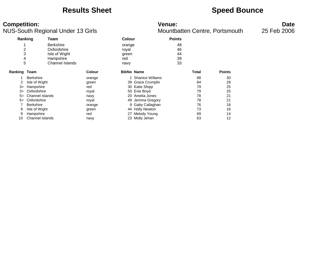### **Results Sheet Speed Bounce**

### **Competition: Venue: Date**

|                | Ranking                | Team                   |               | <b>Colour</b> |                        | <b>Points</b> |       |               |  |
|----------------|------------------------|------------------------|---------------|---------------|------------------------|---------------|-------|---------------|--|
|                |                        | <b>Berkshire</b>       |               | orange        |                        | 48            |       |               |  |
| $\overline{2}$ |                        | Oxfordshire            |               | royal         |                        | 46            |       |               |  |
| 3              |                        | Isle of Wight          |               | green         |                        | 44            |       |               |  |
| 4              |                        | Hampshire              |               | red           |                        | 39            |       |               |  |
| 5              |                        | <b>Channel Islands</b> |               | navy          |                        | 33            |       |               |  |
| Ranking Team   |                        |                        | <b>Colour</b> |               | <b>BibNo Name</b>      |               | Total | <b>Points</b> |  |
|                | <b>Berkshire</b>       |                        | orange        |               | <b>Shanice Willams</b> |               | 88    | 30            |  |
| 2              | Isle of Wight          |                        | green         |               | 39 Grace Crumplin      |               | 84    | 28            |  |
| $3=$           | Hampshire              |                        | red           |               | 30 Katie Shipp         |               | 79    | 25            |  |
| $3=$           | Oxfordshire            |                        | royal         |               | 50 Evie Boyd           |               | 79    | 25            |  |
| $5=$           | Channel Islands        |                        | navy          |               | 20 Amelia Jones        |               | 78    | 21            |  |
| $5=$           | Oxfordshire            |                        | royal         | 49            | Jemma Gregory          |               | 78    | 21            |  |
|                | <b>Berkshire</b>       |                        | orange        |               | 9 Gaby Callaghan       |               | 76    | 18            |  |
| 8              | Isle of Wight          |                        | green         |               | 44 Holly Newton        |               | 73    | 16            |  |
| 9              | Hampshire              |                        | red           | 27            | Melody Young           |               | 69    | 14            |  |
| 10             | <b>Channel Islands</b> |                        | navy          |               | 23 Molly Jehan         |               | 63    | 12            |  |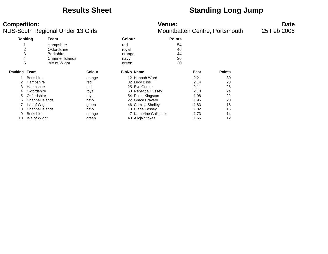## **Results Sheet Standing Long Jump**

### **Competition: Venue: Date**

| Ranking                 |                        | Team             |        |                   | <b>Points</b><br>Colour |    |             |               |
|-------------------------|------------------------|------------------|--------|-------------------|-------------------------|----|-------------|---------------|
|                         |                        | Hampshire        |        | red               |                         | 54 |             |               |
| $\overline{\mathbf{c}}$ |                        | Oxfordshire      |        | royal             |                         | 46 |             |               |
| 3                       |                        | <b>Berkshire</b> |        | orange            |                         | 44 |             |               |
| 4                       |                        | Channel Islands  |        | navy              |                         | 36 |             |               |
| 5                       |                        | Isle of Wight    |        | green             |                         | 30 |             |               |
| <b>Ranking Team</b>     |                        |                  | Colour | <b>BibNo Name</b> |                         |    | <b>Best</b> | <b>Points</b> |
|                         | <b>Berkshire</b>       |                  | orange |                   | 12 Hannah Ward          |    | 2.21        | 30            |
|                         | Hampshire              |                  | red    |                   | 32 Lucy Bliss           |    | 2.14        | 28            |
| 3                       | Hampshire              |                  | red    |                   | 25 Eve Gunter           |    | 2.11        | 26            |
| 4                       | Oxfordshire            |                  | royal  |                   | 60 Rebecca Hussey       |    | 2.10        | 24            |
| 5.                      | Oxfordshire            |                  | royal  |                   | 54 Rosie Kingston       |    | 1.98        | 22            |
| 6                       | <b>Channel Islands</b> |                  | navy   |                   | 22 Grace Bravery        |    | 1.95        | 20            |
|                         | Isle of Wight          |                  | green  |                   | 46 Camilla Shelley      |    | 1.83        | 18            |
| 8                       | <b>Channel Islands</b> |                  | navy   |                   | 13 Ciaria Fossey        |    | 1.82        | 16            |
| 9                       | <b>Berkshire</b>       |                  | orange |                   | 7 Katherine Gallacher   |    | 1.73        | 14            |
| 10                      | Isle of Wight          |                  | green  |                   | 48 Alicia Stokes        |    | 1.66        | 12            |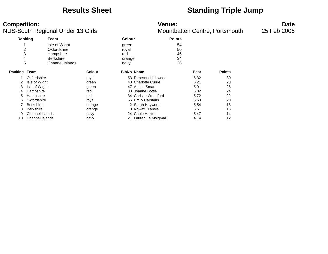### **Results Sheet Standing Triple Jump**

### **Competition: Venue: Date**

| Ranking        |                        | Team                   |               | <b>Colour</b>     |                       | <b>Points</b> |             |               |
|----------------|------------------------|------------------------|---------------|-------------------|-----------------------|---------------|-------------|---------------|
|                |                        | Isle of Wight          |               | green             |                       | 54            |             |               |
| $\overline{2}$ |                        | Oxfordshire            |               | royal             |                       | 50            |             |               |
| 3              |                        | Hampshire              |               | red               |                       | 46            |             |               |
| 4              |                        | <b>Berkshire</b>       |               | orange            |                       | 34            |             |               |
| 5              |                        | <b>Channel Islands</b> |               | navy              |                       | 26            |             |               |
| Ranking Team   |                        |                        | <b>Colour</b> | <b>BibNo Name</b> |                       |               | <b>Best</b> | <b>Points</b> |
|                | Oxfordshire            |                        | royal         |                   | 53 Rebecca Littlewood |               | 6.32        | 30            |
| 2              | Isle of Wight          |                        | green         |                   | 40 Charlotte Currie   |               | 6.21        | 28            |
| 3              | Isle of Wight          |                        | green         |                   | 47 Amiee Smart        |               | 5.91        | 26            |
| 4              | Hampshire              |                        | red           | 33                | Joanne Bottle         |               | 5.82        | 24            |
| 5              | Hampshire              |                        | red           |                   | 34 Chrisite Woodford  |               | 5.72        | 22            |
| 6              | Oxfordshire            |                        | royal         |                   | 55 Emily Carstairs    |               | 5.63        | 20            |
|                | <b>Berkshire</b>       |                        | orange        |                   | 2 Sarah Hayworth      |               | 5.54        | 18            |
| 8              | <b>Berkshire</b>       |                        | orange        |                   | 3 Ngwafu Tansie       |               | 5.51        | 16            |
| 9              | <b>Channel Islands</b> |                        | navy          |                   | 24 Chole Huxtor       |               | 5.47        | 14            |
| 10             | <b>Channel Islands</b> |                        | navy          |                   | 21 Lauren Le Molgmali |               | 4.14        | 12            |